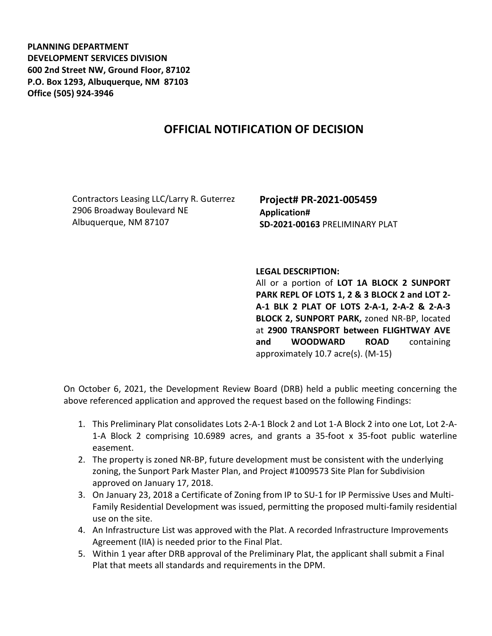**PLANNING DEPARTMENT DEVELOPMENT SERVICES DIVISION 600 2nd Street NW, Ground Floor, 87102 P.O. Box 1293, Albuquerque, NM 87103 Office (505) 924-3946** 

## **OFFICIAL NOTIFICATION OF DECISION**

Contractors Leasing LLC/Larry R. Guterrez 2906 Broadway Boulevard NE Albuquerque, NM 87107

**Project# PR-2021-005459 Application# SD-2021-00163** PRELIMINARY PLAT

**LEGAL DESCRIPTION:**

All or a portion of **LOT 1A BLOCK 2 SUNPORT PARK REPL OF LOTS 1, 2 & 3 BLOCK 2 and LOT 2- A-1 BLK 2 PLAT OF LOTS 2-A-1, 2-A-2 & 2-A-3 BLOCK 2, SUNPORT PARK,** zoned NR-BP, located at **2900 TRANSPORT between FLIGHTWAY AVE and WOODWARD ROAD** containing approximately 10.7 acre(s). (M-15)

On October 6, 2021, the Development Review Board (DRB) held a public meeting concerning the above referenced application and approved the request based on the following Findings:

- 1. This Preliminary Plat consolidates Lots 2-A-1 Block 2 and Lot 1-A Block 2 into one Lot, Lot 2-A-1-A Block 2 comprising 10.6989 acres, and grants a 35-foot x 35-foot public waterline easement.
- 2. The property is zoned NR-BP, future development must be consistent with the underlying zoning, the Sunport Park Master Plan, and Project #1009573 Site Plan for Subdivision approved on January 17, 2018.
- 3. On January 23, 2018 a Certificate of Zoning from IP to SU-1 for IP Permissive Uses and Multi-Family Residential Development was issued, permitting the proposed multi-family residential use on the site.
- 4. An Infrastructure List was approved with the Plat. A recorded Infrastructure Improvements Agreement (IIA) is needed prior to the Final Plat.
- 5. Within 1 year after DRB approval of the Preliminary Plat, the applicant shall submit a Final Plat that meets all standards and requirements in the DPM.